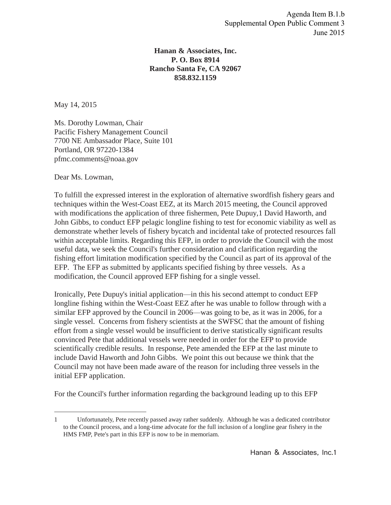## **Hanan & Associates, Inc. P. O. Box 8914 Rancho Santa Fe, CA 92067 858.832.1159**

May 14, 2015

Ms. Dorothy Lowman, Chair Pacific Fishery Management Council 7700 NE Ambassador Place, Suite 101 Portland, OR 97220-1384 pfmc.comments@noaa.gov

Dear Ms. Lowman,

 $\overline{a}$ 

To fulfill the expressed interest in the exploration of alternative swordfish fishery gears and techniques within the West-Coast EEZ, at its March 2015 meeting, the Council approved with modifications the application of three fishermen, Pete Dupuy,1 David Haworth, and John Gibbs, to conduct EFP pelagic longline fishing to test for economic viability as well as demonstrate whether levels of fishery bycatch and incidental take of protected resources fall within acceptable limits. Regarding this EFP, in order to provide the Council with the most useful data, we seek the Council's further consideration and clarification regarding the fishing effort limitation modification specified by the Council as part of its approval of the EFP. The EFP as submitted by applicants specified fishing by three vessels. As a modification, the Council approved EFP fishing for a single vessel.

Ironically, Pete Dupuy's initial application—in this his second attempt to conduct EFP longline fishing within the West-Coast EEZ after he was unable to follow through with a similar EFP approved by the Council in 2006—was going to be, as it was in 2006, for a single vessel. Concerns from fishery scientists at the SWFSC that the amount of fishing effort from a single vessel would be insufficient to derive statistically significant results convinced Pete that additional vessels were needed in order for the EFP to provide scientifically credible results. In response, Pete amended the EFP at the last minute to include David Haworth and John Gibbs. We point this out because we think that the Council may not have been made aware of the reason for including three vessels in the initial EFP application.

For the Council's further information regarding the background leading up to this EFP

<sup>1</sup> Unfortunately, Pete recently passed away rather suddenly. Although he was a dedicated contributor to the Council process, and a long-time advocate for the full inclusion of a longline gear fishery in the HMS FMP, Pete's part in this EFP is now to be in memoriam.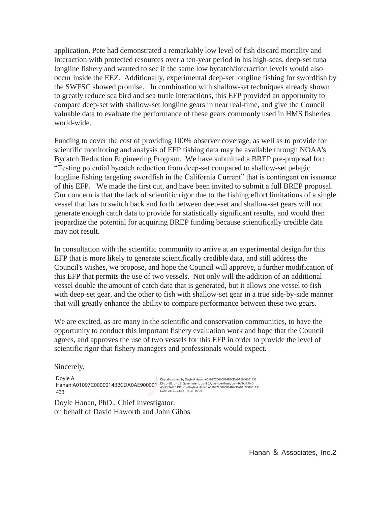application, Pete had demonstrated a remarkably low level of fish discard mortality and interaction with protected resources over a ten-year period in his high-seas, deep-set tuna longline fishery and wanted to see if the same low bycatch/interaction levels would also occur inside the EEZ. Additionally, experimental deep-set longline fishing for swordfish by the SWFSC showed promise. In combination with shallow-set techniques already shown to greatly reduce sea bird and sea turtle interactions, this EFP provided an opportunity to compare deep-set with shallow-set longline gears in near real-time, and give the Council valuable data to evaluate the performance of these gears commonly used in HMS fisheries world-wide.

Funding to cover the cost of providing 100% observer coverage, as well as to provide for scientific monitoring and analysis of EFP fishing data may be available through NOAA's Bycatch Reduction Engineering Program. We have submitted a BREP pre-proposal for: "Testing potential bycatch reduction from deep-set compared to shallow-set pelagic longline fishing targeting swordfish in the California Current" that is contingent on issuance of this EFP. We made the first cut, and have been invited to submit a full BREP proposal. Our concern is that the lack of scientific rigor due to the fishing effort limitations of a single vessel that has to switch back and forth between deep-set and shallow-set gears will not generate enough catch data to provide for statistically significant results, and would then jeopardize the potential for acquiring BREP funding because scientifically credible data may not result.

In consultation with the scientific community to arrive at an experimental design for this EFP that is more likely to generate scientifically credible data, and still address the Council's wishes, we propose, and hope the Council will approve, a further modification of this EFP that permits the use of two vessels. Not only will the addition of an additional vessel double the amount of catch data that is generated, but it allows one vessel to fish with deep-set gear, and the other to fish with shallow-set gear in a true side-by-side manner that will greatly enhance the ability to compare performance between these two gears.

We are excited, as are many in the scientific and conservation communities, to have the opportunity to conduct this important fishery evaluation work and hope that the Council agrees, and approves the use of two vessels for this EFP in order to provide the level of scientific rigor that fishery managers and professionals would expect.

Sincerely,

Doyle A DOVIE A<br>Hanan:A01097C0000014B2CDA0AE900001<br>ASSOCIATES INC. COMENTIARE IN CONSIDERATION CONTRACTION AND DRIVER AND HANAN AND<br>A 23 433

Doyle Hanan, PhD., Chief Investigator; on behalf of David Haworth and John Gibbs